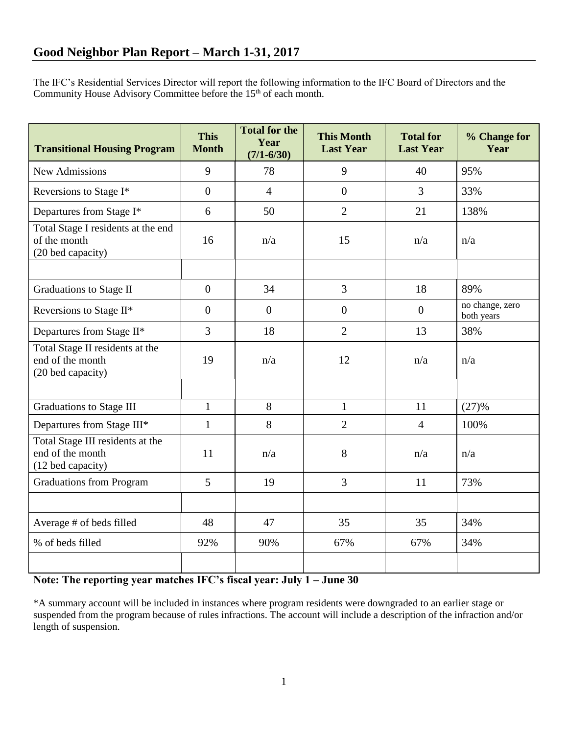The IFC's Residential Services Director will report the following information to the IFC Board of Directors and the Community House Advisory Committee before the 15<sup>th</sup> of each month.

| <b>Transitional Housing Program</b>                                       | <b>This</b><br><b>Month</b> | <b>Total for the</b><br>Year<br>$(7/1 - 6/30)$ | <b>This Month</b><br><b>Last Year</b> | <b>Total for</b><br><b>Last Year</b> | % Change for<br>Year          |
|---------------------------------------------------------------------------|-----------------------------|------------------------------------------------|---------------------------------------|--------------------------------------|-------------------------------|
| <b>New Admissions</b>                                                     | 9                           | 78                                             | 9                                     | 40                                   | 95%                           |
| Reversions to Stage I*                                                    | $\overline{0}$              | $\overline{4}$                                 | $\overline{0}$                        | $\overline{3}$                       | 33%                           |
| Departures from Stage I*                                                  | 6                           | 50                                             | $\overline{2}$                        | 21                                   | 138%                          |
| Total Stage I residents at the end<br>of the month<br>(20 bed capacity)   | 16                          | n/a                                            | 15                                    | n/a                                  | n/a                           |
|                                                                           |                             |                                                |                                       |                                      |                               |
| Graduations to Stage II                                                   | $\overline{0}$              | 34                                             | $\overline{3}$                        | 18                                   | 89%                           |
| Reversions to Stage II*                                                   | $\overline{0}$              | $\boldsymbol{0}$                               | $\overline{0}$                        | $\overline{0}$                       | no change, zero<br>both years |
| Departures from Stage II*                                                 | $\overline{3}$              | 18                                             | $\overline{2}$                        | 13                                   | 38%                           |
| Total Stage II residents at the<br>end of the month<br>(20 bed capacity)  | 19                          | n/a                                            | 12                                    | n/a                                  | n/a                           |
|                                                                           |                             |                                                |                                       |                                      |                               |
| Graduations to Stage III                                                  | $\mathbf{1}$                | 8                                              | $\mathbf{1}$                          | 11                                   | (27)%                         |
| Departures from Stage III*                                                | $\mathbf{1}$                | 8                                              | $\overline{2}$                        | $\overline{4}$                       | 100%                          |
| Total Stage III residents at the<br>end of the month<br>(12 bed capacity) | 11                          | n/a                                            | 8                                     | n/a                                  | n/a                           |
| <b>Graduations from Program</b>                                           | 5                           | 19                                             | 3                                     | 11                                   | 73%                           |
|                                                                           |                             |                                                |                                       |                                      |                               |
| Average # of beds filled                                                  | 48                          | 47                                             | 35                                    | 35                                   | 34%                           |
| % of beds filled                                                          | 92%                         | 90%                                            | 67%                                   | 67%                                  | 34%                           |
|                                                                           |                             |                                                |                                       |                                      |                               |

## **Note: The reporting year matches IFC's fiscal year: July 1 – June 30**

\*A summary account will be included in instances where program residents were downgraded to an earlier stage or suspended from the program because of rules infractions. The account will include a description of the infraction and/or length of suspension.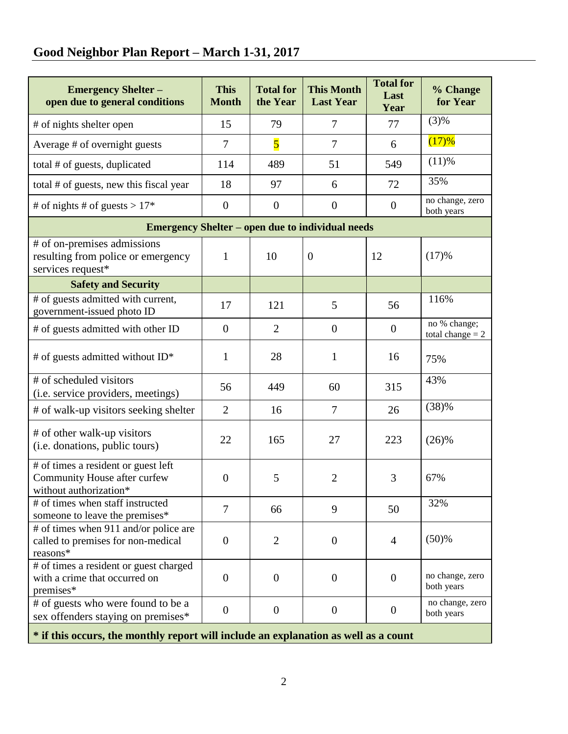# **Good Neighbor Plan Report – March 1-31, 2017**

| <b>Emergency Shelter -</b><br>open due to general conditions                                  | <b>This</b><br><b>Month</b> | <b>Total for</b><br>the Year | <b>This Month</b><br><b>Last Year</b> | <b>Total for</b><br>Last<br>Year | % Change<br>for Year               |  |  |  |
|-----------------------------------------------------------------------------------------------|-----------------------------|------------------------------|---------------------------------------|----------------------------------|------------------------------------|--|--|--|
| # of nights shelter open                                                                      | 15                          | 79                           | 7                                     | 77                               | (3)%                               |  |  |  |
| Average # of overnight guests                                                                 | $\overline{7}$              | $\overline{\mathbf{5}}$      | $\tau$                                | 6                                | (17)%                              |  |  |  |
| total # of guests, duplicated                                                                 | 114                         | 489                          | 51                                    | 549                              | (11)%                              |  |  |  |
| total # of guests, new this fiscal year                                                       | 18                          | 97                           | 6                                     | 72                               | 35%                                |  |  |  |
| # of nights # of guests > $17*$                                                               | $\boldsymbol{0}$            | $\boldsymbol{0}$             | $\boldsymbol{0}$                      | $\overline{0}$                   | no change, zero<br>both years      |  |  |  |
| <b>Emergency Shelter – open due to individual needs</b>                                       |                             |                              |                                       |                                  |                                    |  |  |  |
| # of on-premises admissions<br>resulting from police or emergency<br>services request*        | $\mathbf{1}$                | 10                           | $\overline{0}$                        | 12                               | (17)%                              |  |  |  |
| <b>Safety and Security</b>                                                                    |                             |                              |                                       |                                  |                                    |  |  |  |
| # of guests admitted with current,<br>government-issued photo ID                              | 17                          | 121                          | 5                                     | 56                               | 116%                               |  |  |  |
| # of guests admitted with other ID                                                            | $\overline{0}$              | $\overline{2}$               | $\overline{0}$                        | $\boldsymbol{0}$                 | no % change;<br>total change $= 2$ |  |  |  |
| # of guests admitted without ID*                                                              | $\mathbf{1}$                | 28                           | $\mathbf{1}$                          | 16                               | 75%                                |  |  |  |
| # of scheduled visitors<br>(i.e. service providers, meetings)                                 | 56                          | 449                          | 60                                    | 315                              | 43%                                |  |  |  |
| # of walk-up visitors seeking shelter                                                         | $\overline{2}$              | 16                           | $\tau$                                | 26                               | (38)%                              |  |  |  |
| # of other walk-up visitors<br>(i.e. donations, public tours)                                 | 22                          | 165                          | 27                                    | 223                              | (26)%                              |  |  |  |
| # of times a resident or guest left<br>Community House after curfew<br>without authorization* | $\theta$                    | 5                            | $\overline{2}$                        | 3                                | 67%                                |  |  |  |
| # of times when staff instructed<br>someone to leave the premises*                            | 7                           | 66                           | 9                                     | 50                               | 32%                                |  |  |  |
| # of times when 911 and/or police are<br>called to premises for non-medical<br>reasons*       | $\overline{0}$              | $\overline{2}$               | $\overline{0}$                        | $\overline{4}$                   | (50)%                              |  |  |  |
| # of times a resident or guest charged<br>with a crime that occurred on<br>premises*          | $\theta$                    | $\theta$                     | $\theta$                              | $\theta$                         | no change, zero<br>both years      |  |  |  |
| # of guests who were found to be a<br>sex offenders staying on premises*                      | $\overline{0}$              | $\boldsymbol{0}$             | $\overline{0}$                        | $\mathbf{0}$                     | no change, zero<br>both years      |  |  |  |

**\* if this occurs, the monthly report will include an explanation as well as a count**